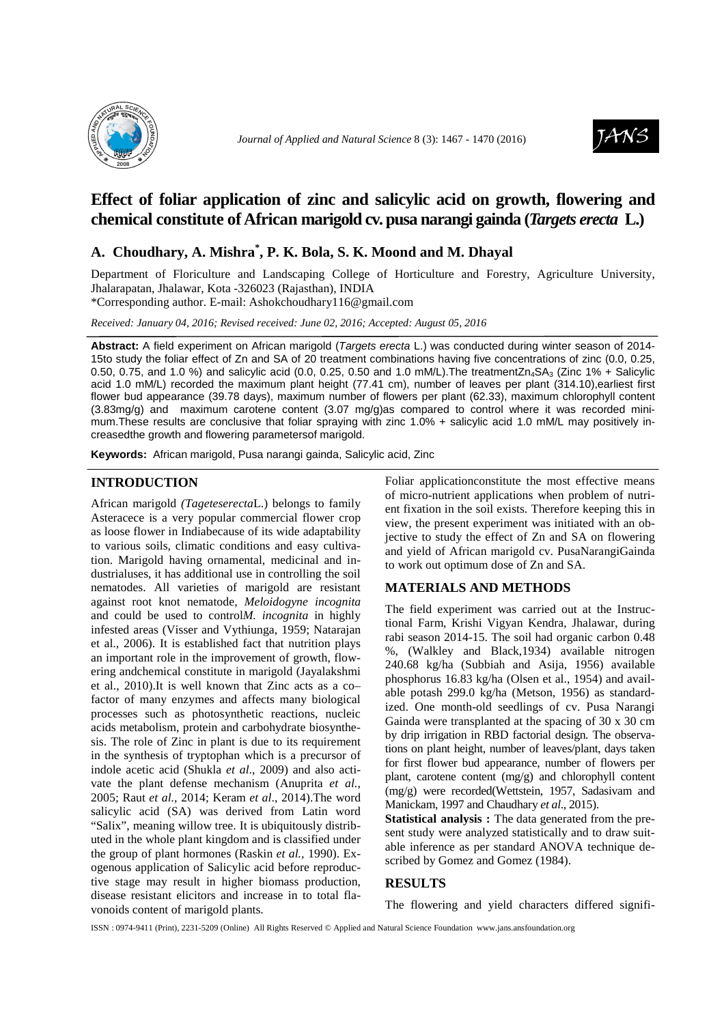



# **Effect of foliar application of zinc and salicylic acid on growth, flowering and chemical constitute of African marigold cv. pusa narangi gainda (***Targets erecta* **L.)**

## **A. Choudhary, A. Mishra\* , P. K. Bola, S. K. Moond and M. Dhayal**

Department of Floriculture and Landscaping College of Horticulture and Forestry, Agriculture University, Jhalarapatan, Jhalawar, Kota -326023 (Rajasthan), INDIA

\*Corresponding author. E-mail: Ashokchoudhary116@gmail.com

*Received: January 04, 2016; Revised received: June 02, 2016; Accepted: August 05, 2016*

**Abstract:** A field experiment on African marigold (Targets erecta L.) was conducted during winter season of 2014- 15to study the foliar effect of Zn and SA of 20 treatment combinations having five concentrations of zinc (0.0, 0.25, 0.50, 0.75, and 1.0 %) and salicylic acid (0.0, 0.25, 0.50 and 1.0 mM/L). The treatmentZn<sub>4</sub>SA<sub>3</sub> (Zinc 1% + Salicylic acid 1.0 mM/L) recorded the maximum plant height (77.41 cm), number of leaves per plant (314.10),earliest first flower bud appearance (39.78 days), maximum number of flowers per plant (62.33), maximum chlorophyll content (3.83mg/g) and maximum carotene content (3.07 mg/g)as compared to control where it was recorded minimum.These results are conclusive that foliar spraying with zinc 1.0% + salicylic acid 1.0 mM/L may positively increasedthe growth and flowering parametersof marigold.

**Keywords:** African marigold, Pusa narangi gainda, Salicylic acid, Zinc

#### **INTRODUCTION**

African marigold *(Tageteserecta*L.) belongs to family Asteracece is a very popular commercial flower crop as loose flower in Indiabecause of its wide adaptability to various soils, climatic conditions and easy cultivation. Marigold having ornamental, medicinal and industrialuses, it has additional use in controlling the soil nematodes. All varieties of marigold are resistant against root knot nematode, *Meloidogyne incognita* and could be used to control*M. incognita* in highly infested areas (Visser and Vythiunga, 1959; Natarajan et al., 2006). It is established fact that nutrition plays an important role in the improvement of growth, flowering andchemical constitute in marigold (Jayalakshmi et al., 2010).It is well known that Zinc acts as a co– factor of many enzymes and affects many biological processes such as photosynthetic reactions, nucleic acids metabolism, protein and carbohydrate biosynthesis. The role of Zinc in plant is due to its requirement in the synthesis of tryptophan which is a precursor of indole acetic acid (Shukla *et al*., 2009) and also activate the plant defense mechanism (Anuprita *et al.,*  2005; Raut *et al.,* 2014; Keram *et al*., 2014).The word salicylic acid (SA) was derived from Latin word "Salix", meaning willow tree. It is ubiquitously distributed in the whole plant kingdom and is classified under the group of plant hormones (Raskin *et al.,* 1990). Exogenous application of Salicylic acid before reproductive stage may result in higher biomass production, disease resistant elicitors and increase in to total flavonoids content of marigold plants.

Foliar applicationconstitute the most effective means of micro-nutrient applications when problem of nutrient fixation in the soil exists. Therefore keeping this in view, the present experiment was initiated with an objective to study the effect of Zn and SA on flowering and yield of African marigold cv. PusaNarangiGainda to work out optimum dose of Zn and SA.

## **MATERIALS AND METHODS**

The field experiment was carried out at the Instructional Farm, Krishi Vigyan Kendra, Jhalawar, during rabi season 2014-15. The soil had organic carbon 0.48 %, (Walkley and Black,1934) available nitrogen 240.68 kg/ha (Subbiah and Asija, 1956) available phosphorus 16.83 kg/ha (Olsen et al., 1954) and available potash 299.0 kg/ha (Metson, 1956) as standardized. One month-old seedlings of cv. Pusa Narangi Gainda were transplanted at the spacing of 30 x 30 cm by drip irrigation in RBD factorial design. The observations on plant height, number of leaves/plant, days taken for first flower bud appearance, number of flowers per plant, carotene content (mg/g) and chlorophyll content (mg/g) were recorded(Wettstein, 1957, Sadasivam and Manickam, 1997 and Chaudhary *et al*., 2015).

**Statistical analysis :** The data generated from the present study were analyzed statistically and to draw suitable inference as per standard ANOVA technique described by Gomez and Gomez (1984).

## **RESULTS**

The flowering and yield characters differed signifi-

ISSN : 0974-9411 (Print), 2231-5209 (Online) All Rights Reserved © Applied and Natural Science Foundation www.jans.ansfoundation.org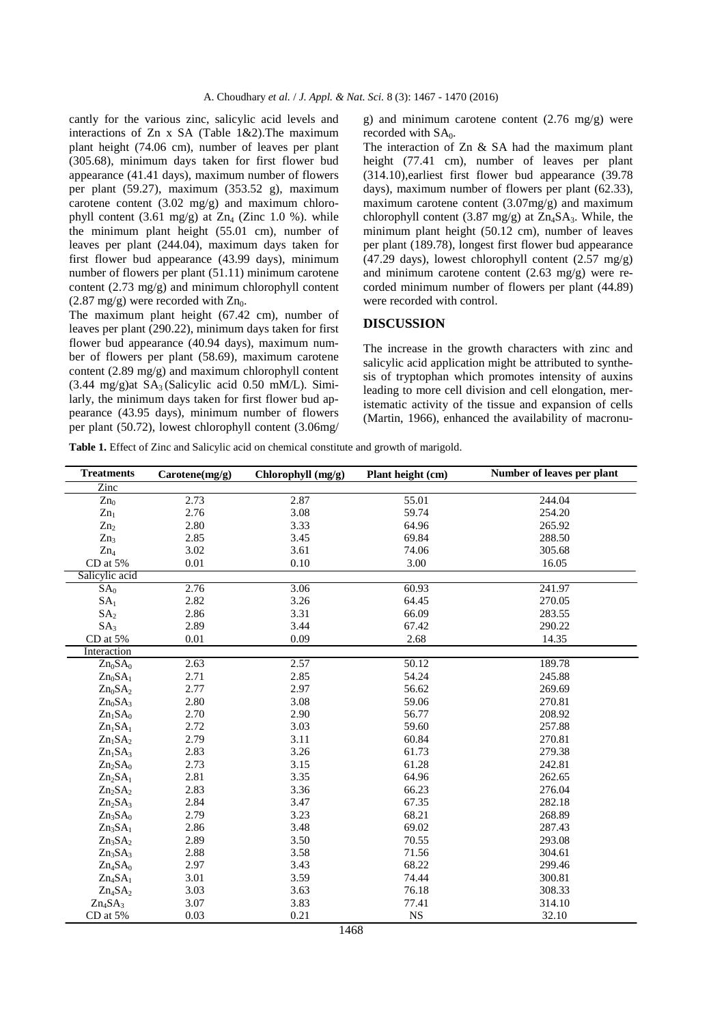cantly for the various zinc, salicylic acid levels and interactions of Zn x SA (Table 1&2).The maximum plant height (74.06 cm), number of leaves per plant (305.68), minimum days taken for first flower bud appearance (41.41 days), maximum number of flowers per plant (59.27), maximum (353.52 g), maximum carotene content  $(3.02 \text{ mg/g})$  and maximum chlorophyll content  $(3.61 \text{ mg/g})$  at  $Zn_4$  (Zinc 1.0 %). while the minimum plant height (55.01 cm), number of leaves per plant (244.04), maximum days taken for first flower bud appearance (43.99 days), minimum number of flowers per plant (51.11) minimum carotene content  $(2.73 \text{ mg/g})$  and minimum chlorophyll content  $(2.87 \text{ mg/g})$  were recorded with  $Zn_0$ .

The maximum plant height (67.42 cm), number of leaves per plant (290.22), minimum days taken for first flower bud appearance (40.94 days), maximum number of flowers per plant (58.69), maximum carotene content (2.89 mg/g) and maximum chlorophyll content  $(3.44 \text{ mg/g})$ at SA<sub>3</sub> (Salicylic acid 0.50 mM/L). Similarly, the minimum days taken for first flower bud appearance (43.95 days), minimum number of flowers per plant (50.72), lowest chlorophyll content (3.06mg/

g) and minimum carotene content  $(2.76 \text{ mg/g})$  were recorded with SA<sub>0</sub>.

The interaction of Zn & SA had the maximum plant height (77.41 cm), number of leaves per plant (314.10),earliest first flower bud appearance (39.78 days), maximum number of flowers per plant (62.33), maximum carotene content (3.07mg/g) and maximum chlorophyll content (3.87 mg/g) at  $Zn_4SA_3$ . While, the minimum plant height (50.12 cm), number of leaves per plant (189.78), longest first flower bud appearance (47.29 days), lowest chlorophyll content  $(2.57 \text{ mg/g})$ and minimum carotene content (2.63 mg/g) were recorded minimum number of flowers per plant (44.89) were recorded with control.

#### **DISCUSSION**

The increase in the growth characters with zinc and salicylic acid application might be attributed to synthesis of tryptophan which promotes intensity of auxins leading to more cell division and cell elongation, meristematic activity of the tissue and expansion of cells (Martin, 1966), enhanced the availability of macronu-

**Table 1.** Effect of Zinc and Salicylic acid on chemical constitute and growth of marigold.

| <b>Treatments</b>               | $C$ arotene $(mg/g)$ | Chlorophyll (mg/g) | Plant height (cm) | Number of leaves per plant |
|---------------------------------|----------------------|--------------------|-------------------|----------------------------|
| Zinc                            |                      |                    |                   |                            |
| $Zn_0$                          | 2.73                 | 2.87               | 55.01             | 244.04                     |
| $Zn_1$                          | 2.76                 | 3.08               | 59.74             | 254.20                     |
| Zn <sub>2</sub>                 | 2.80                 | 3.33               | 64.96             | 265.92                     |
| Zn <sub>3</sub>                 | 2.85                 | 3.45               | 69.84             | 288.50                     |
| $Zn_4$                          | 3.02                 | 3.61               | 74.06             | 305.68                     |
| CD at 5%                        | 0.01                 | 0.10               | 3.00              | 16.05                      |
| Salicylic acid                  |                      |                    |                   |                            |
| SA <sub>0</sub>                 | 2.76                 | 3.06               | 60.93             | 241.97                     |
| SA <sub>1</sub>                 | 2.82                 | 3.26               | 64.45             | 270.05                     |
| SA <sub>2</sub>                 | 2.86                 | 3.31               | 66.09             | 283.55                     |
| SA <sub>3</sub>                 | 2.89                 | 3.44               | 67.42             | 290.22                     |
| CD at 5%                        | 0.01                 | 0.09               | 2.68              | 14.35                      |
| Interaction                     |                      |                    |                   |                            |
| $Zn_0SA_0$                      | 2.63                 | 2.57               | 50.12             | 189.78                     |
| $Zn_0SA_1$                      | 2.71                 | 2.85               | 54.24             | 245.88                     |
| $Zn_0SA_2$                      | 2.77                 | 2.97               | 56.62             | 269.69                     |
| $Zn_0SA_3$                      | 2.80                 | 3.08               | 59.06             | 270.81                     |
| Zn <sub>1</sub> SA <sub>0</sub> | 2.70                 | 2.90               | 56.77             | 208.92                     |
| $Zn_1SA_1$                      | 2.72                 | 3.03               | 59.60             | 257.88                     |
| Zn <sub>1</sub> SA <sub>2</sub> | 2.79                 | 3.11               | 60.84             | 270.81                     |
| $Zn_1SA_3$                      | 2.83                 | 3.26               | 61.73             | 279.38                     |
| $Zn_2SA_0$                      | 2.73                 | 3.15               | 61.28             | 242.81                     |
| $Zn_2SA_1$                      | 2.81                 | 3.35               | 64.96             | 262.65                     |
| $Zn_2SA_2$                      | 2.83                 | 3.36               | 66.23             | 276.04                     |
| $Zn_2SA_3$                      | 2.84                 | 3.47               | 67.35             | 282.18                     |
| Zn <sub>3</sub> SA <sub>0</sub> | 2.79                 | 3.23               | 68.21             | 268.89                     |
| $Zn_3SA_1$                      | 2.86                 | 3.48               | 69.02             | 287.43                     |
| $Zn_3SA_2$                      | 2.89                 | 3.50               | 70.55             | 293.08                     |
| $Zn_3SA_3$                      | 2.88                 | 3.58               | 71.56             | 304.61                     |
| $Zn_4SA_0$                      | 2.97                 | 3.43               | 68.22             | 299.46                     |
| $Zn_4SA_1$                      | 3.01                 | 3.59               | 74.44             | 300.81                     |
| $Zn_4SA_2$                      | 3.03                 | 3.63               | 76.18             | 308.33                     |
| $Zn_4SA_3$                      | 3.07                 | 3.83               | 77.41             | 314.10                     |
| CD at 5%                        | 0.03                 | 0.21               | $_{\rm NS}$       | 32.10                      |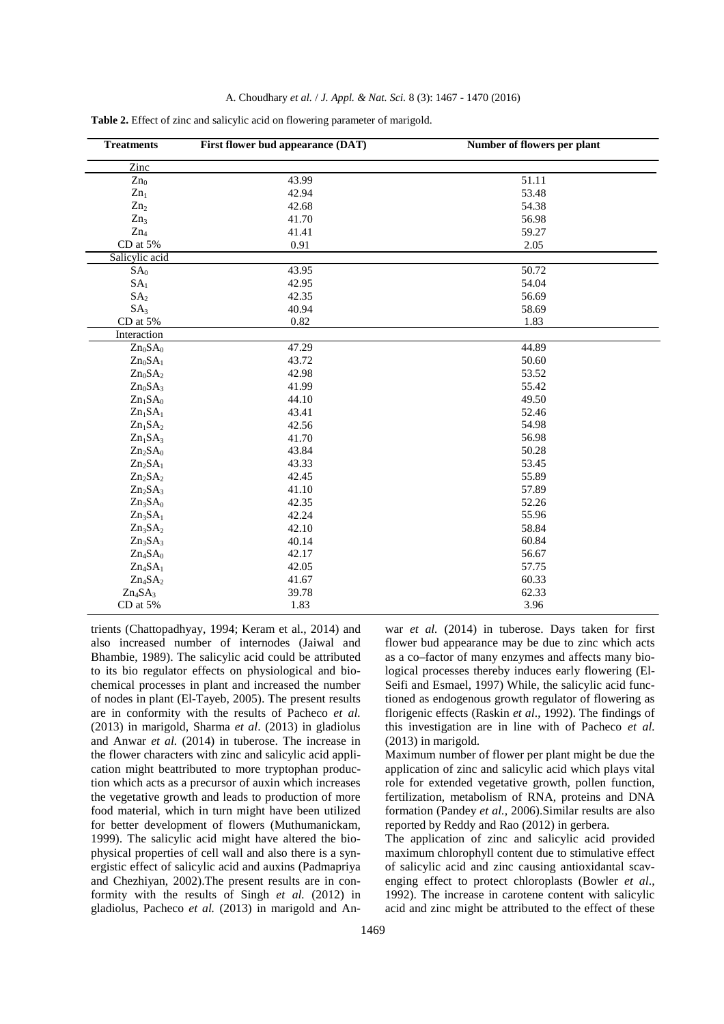|  | A. Choudhary et al. / J. Appl. & Nat. Sci. 8 (3): 1467 - 1470 (2016) |  |  |  |  |  |  |  |
|--|----------------------------------------------------------------------|--|--|--|--|--|--|--|
|--|----------------------------------------------------------------------|--|--|--|--|--|--|--|

| <b>Treatments</b>               | First flower bud appearance (DAT) | Number of flowers per plant |  |  |
|---------------------------------|-----------------------------------|-----------------------------|--|--|
| Zinc                            |                                   |                             |  |  |
| $Zn_0$                          | 43.99                             | 51.11                       |  |  |
| $Zn_1$                          | 42.94                             | 53.48                       |  |  |
| Zn <sub>2</sub>                 | 42.68                             | 54.38                       |  |  |
| Zn <sub>3</sub>                 | 41.70                             | 56.98                       |  |  |
| $Zn_4$                          | 41.41                             | 59.27                       |  |  |
| CD at 5%                        | 0.91                              | 2.05                        |  |  |
| Salicylic acid                  |                                   |                             |  |  |
| SA <sub>0</sub>                 | 43.95                             | 50.72                       |  |  |
| SA <sub>1</sub>                 | 42.95                             | 54.04                       |  |  |
| SA <sub>2</sub>                 | 42.35                             | 56.69                       |  |  |
| SA <sub>3</sub>                 | 40.94                             | 58.69                       |  |  |
| CD at 5%                        | 0.82                              | 1.83                        |  |  |
| Interaction                     |                                   |                             |  |  |
| $Zn_0SA_0$                      | 47.29                             | 44.89                       |  |  |
| $Zn_0SA_1$                      | 43.72                             | 50.60                       |  |  |
| $Zn_0SA_2$                      | 42.98                             | 53.52                       |  |  |
| $Zn_0SA_3$                      | 41.99                             | 55.42                       |  |  |
| Zn <sub>1</sub> SA <sub>0</sub> | 44.10                             | 49.50                       |  |  |
| Zn <sub>1</sub> SA <sub>1</sub> | 43.41                             | 52.46                       |  |  |
| Zn <sub>1</sub> SA <sub>2</sub> | 42.56                             | 54.98                       |  |  |
| $Zn_1SA_3$                      | 41.70                             | 56.98                       |  |  |
| $Zn_2SA_0$                      | 43.84                             | 50.28                       |  |  |
| $Zn_2SA_1$                      | 43.33                             | 53.45                       |  |  |
| $Zn_2SA_2$                      | 42.45                             | 55.89                       |  |  |
| $Zn_2SA_3$                      | 41.10                             | 57.89                       |  |  |
| $Zn_3SA_0$                      | 42.35                             | 52.26                       |  |  |
| Zn <sub>3</sub> SA <sub>1</sub> | 42.24                             | 55.96                       |  |  |
| $Zn_3SA_2$                      | 42.10                             | 58.84                       |  |  |
| $Zn_3SA_3$                      | 40.14                             | 60.84                       |  |  |
| $Zn_4SA_0$                      | 42.17                             | 56.67                       |  |  |
| $Zn_4SA_1$                      | 42.05                             | 57.75                       |  |  |
| $Zn_4SA_2$                      | 41.67                             | 60.33                       |  |  |
| $Zn_4SA_3$                      | 39.78                             | 62.33                       |  |  |
| CD at 5%                        | 1.83                              | 3.96                        |  |  |

**Table 2.** Effect of zinc and salicylic acid on flowering parameter of marigold.

trients (Chattopadhyay, 1994; Keram et al., 2014) and also increased number of internodes (Jaiwal and Bhambie, 1989). The salicylic acid could be attributed to its bio regulator effects on physiological and biochemical processes in plant and increased the number of nodes in plant (El-Tayeb, 2005). The present results are in conformity with the results of Pacheco *et al.*  (2013) in marigold, Sharma *et al*. (2013) in gladiolus and Anwar *et al.* (2014) in tuberose. The increase in the flower characters with zinc and salicylic acid application might beattributed to more tryptophan production which acts as a precursor of auxin which increases the vegetative growth and leads to production of more food material, which in turn might have been utilized for better development of flowers (Muthumanickam, 1999). The salicylic acid might have altered the biophysical properties of cell wall and also there is a synergistic effect of salicylic acid and auxins (Padmapriya and Chezhiyan, 2002).The present results are in conformity with the results of Singh *et al.* (2012) in gladiolus, Pacheco *et al.* (2013) in marigold and An-

war *et al.* (2014) in tuberose. Days taken for first flower bud appearance may be due to zinc which acts as a co–factor of many enzymes and affects many biological processes thereby induces early flowering (El-Seifi and Esmael, 1997) While, the salicylic acid functioned as endogenous growth regulator of flowering as florigenic effects (Raskin *et al*., 1992). The findings of this investigation are in line with of Pacheco *et al.*  (2013) in marigold*.*

Maximum number of flower per plant might be due the application of zinc and salicylic acid which plays vital role for extended vegetative growth, pollen function, fertilization, metabolism of RNA, proteins and DNA formation (Pandey *et al.,* 2006).Similar results are also reported by Reddy and Rao (2012) in gerbera.

The application of zinc and salicylic acid provided maximum chlorophyll content due to stimulative effect of salicylic acid and zinc causing antioxidantal scavenging effect to protect chloroplasts (Bowler *et al*., 1992). The increase in carotene content with salicylic acid and zinc might be attributed to the effect of these